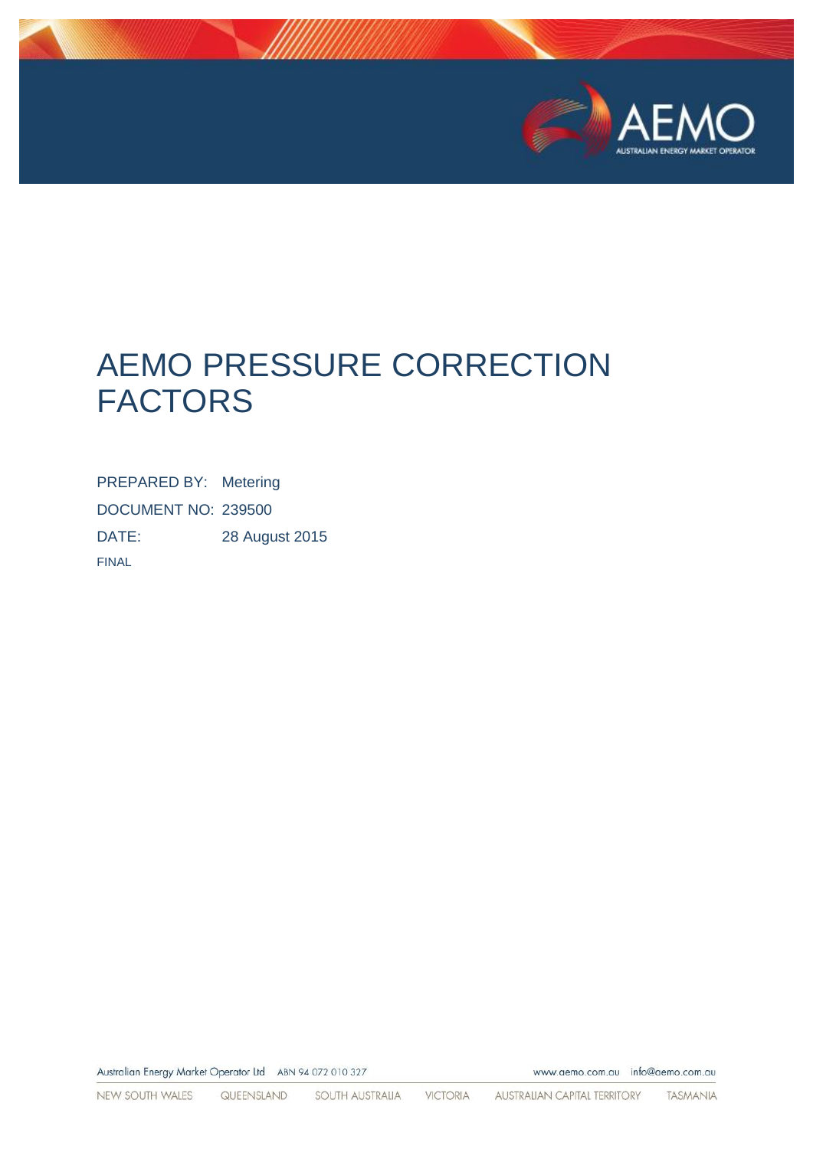

## **AEMO PRESSURE CORRECTION FACTORS**

PREPARED BY: Metering DOCUMENT NO: 239500 DATE: 28 August 2015 **FINAL** 

Australian Energy Market Operator Ltd ABN 94 072 010 327

NEW SOUTH WALES QUEENSLAND SOUTH AUSTRALIA VICTORIA AUSTRALIAN CAPITAL TERRITORY TASMANIA

www.aemo.com.au info@aemo.com.au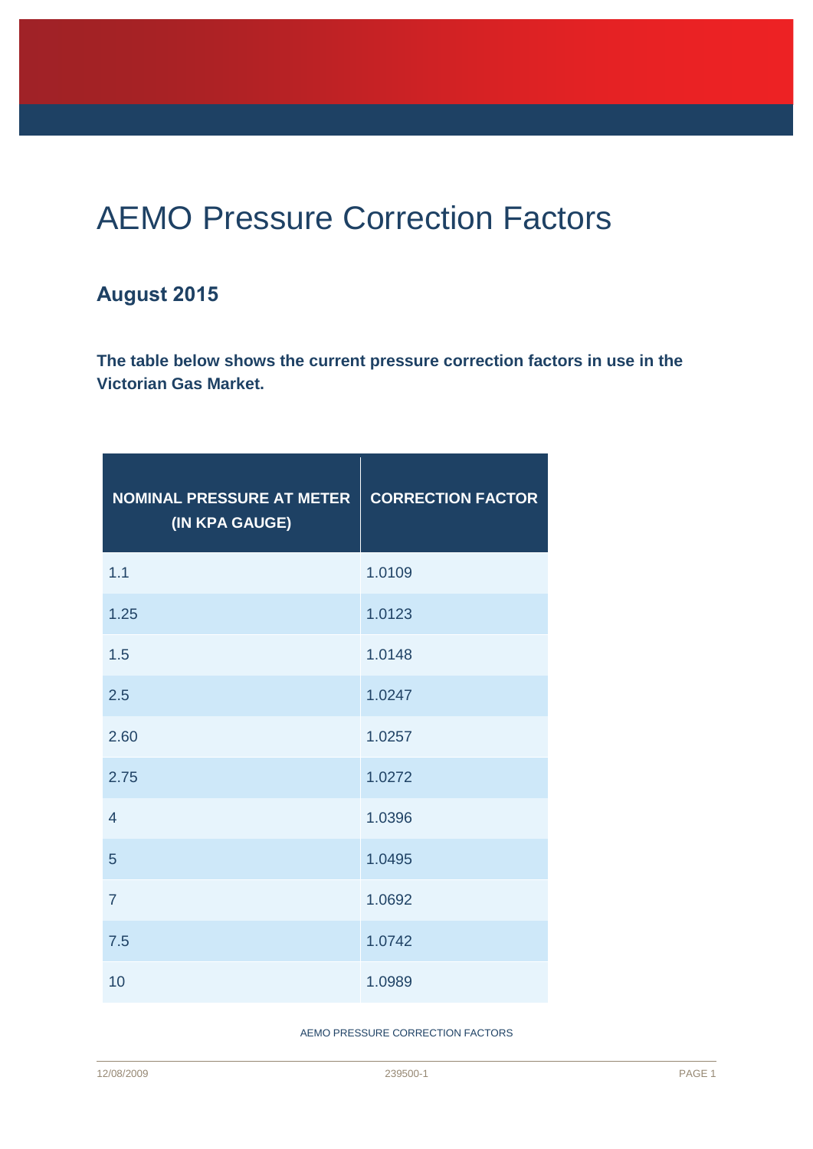## AEMO Pressure Correction Factors

## **August 2015**

**The table below shows the current pressure correction factors in use in the Victorian Gas Market.**

| <b>NOMINAL PRESSURE AT METER</b><br>(IN KPA GAUGE) | <b>CORRECTION FACTOR</b> |
|----------------------------------------------------|--------------------------|
| 1.1                                                | 1.0109                   |
| 1.25                                               | 1.0123                   |
| 1.5                                                | 1.0148                   |
| 2.5                                                | 1.0247                   |
| 2.60                                               | 1.0257                   |
| 2.75                                               | 1.0272                   |
| $\overline{4}$                                     | 1.0396                   |
| 5                                                  | 1.0495                   |
| $\overline{7}$                                     | 1.0692                   |
| 7.5                                                | 1.0742                   |
| 10                                                 | 1.0989                   |

AEMO PRESSURE CORRECTION FACTORS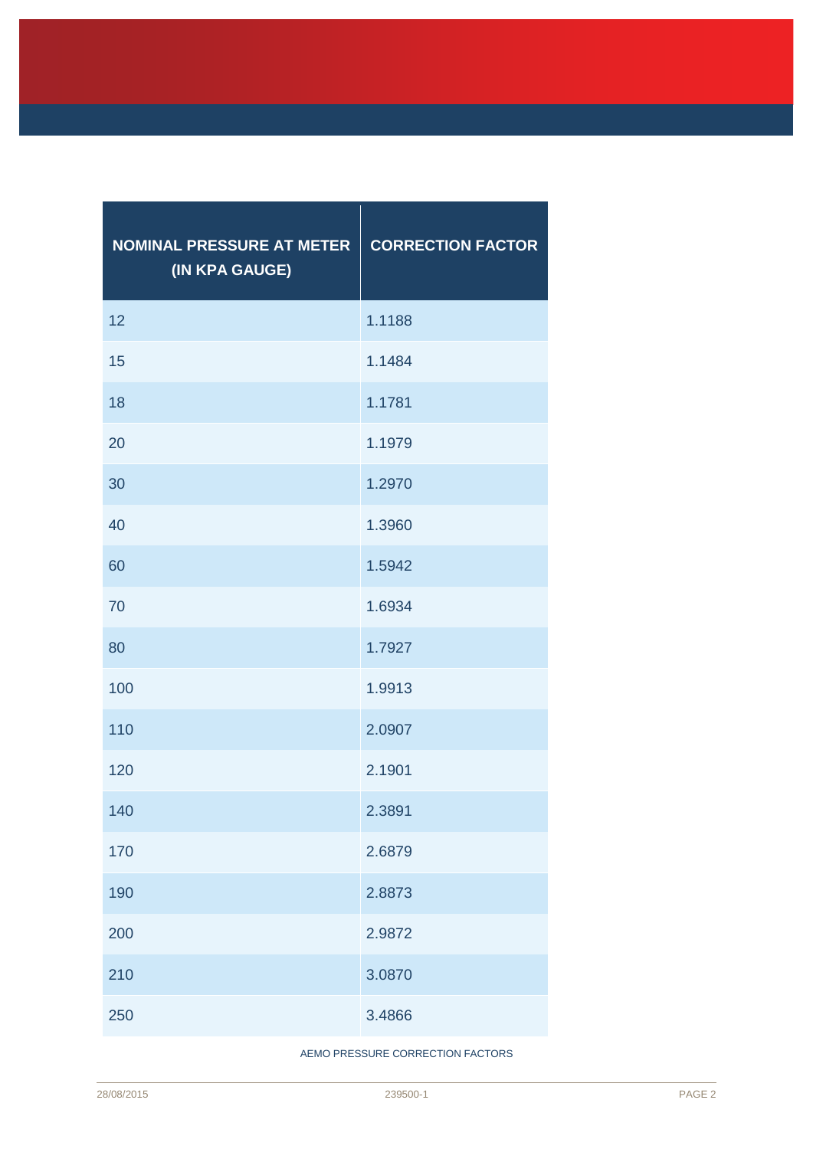| <b>NOMINAL PRESSURE AT METER</b><br>(IN KPA GAUGE) | <b>CORRECTION FACTOR</b> |
|----------------------------------------------------|--------------------------|
| 12                                                 | 1.1188                   |
| 15                                                 | 1.1484                   |
| 18                                                 | 1.1781                   |
| 20                                                 | 1.1979                   |
| 30                                                 | 1.2970                   |
| 40                                                 | 1.3960                   |
| 60                                                 | 1.5942                   |
| 70                                                 | 1.6934                   |
| 80                                                 | 1.7927                   |
| 100                                                | 1.9913                   |
| 110                                                | 2.0907                   |
| 120                                                | 2.1901                   |
| 140                                                | 2.3891                   |
| 170                                                | 2.6879                   |
| 190                                                | 2.8873                   |
| 200                                                | 2.9872                   |
| 210                                                | 3.0870                   |
| 250                                                | 3.4866                   |

AEMO PRESSURE CORRECTION FACTORS